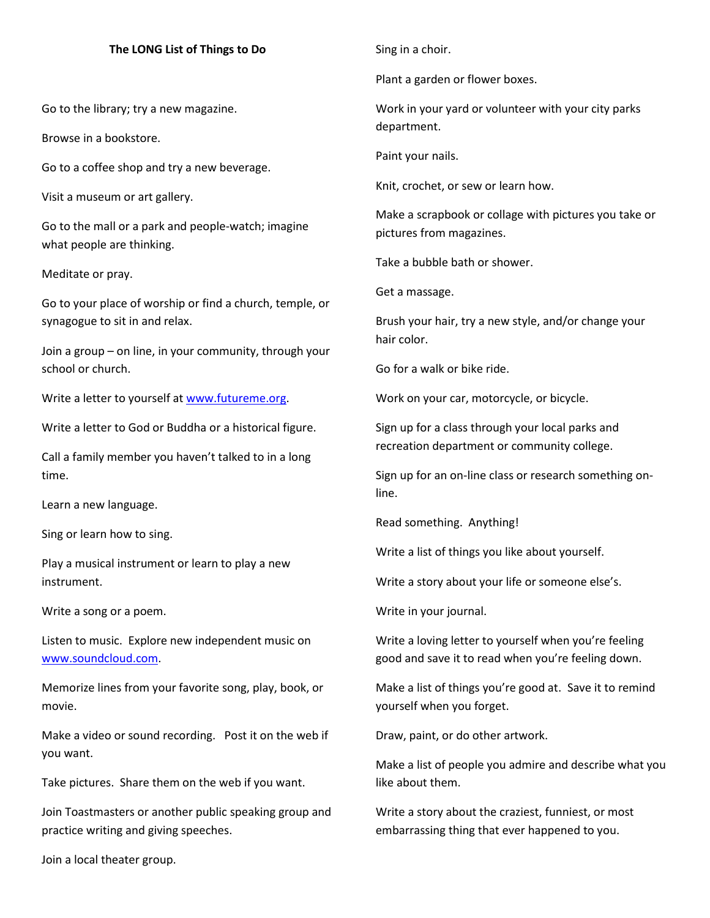## **The LONG List of Things to Do**

Go to the library; try a new magazine.

Browse in a bookstore.

Go to a coffee shop and try a new beverage.

Visit a museum or art gallery.

Go to the mall or a park and people-watch; imagine what people are thinking.

Meditate or pray.

Go to your place of worship or find a church, temple, or synagogue to sit in and relax.

Join a group – on line, in your community, through your school or church.

Write a letter to yourself a[t www.futureme.org.](http://www.futureme.org/)

Write a letter to God or Buddha or a historical figure.

Call a family member you haven't talked to in a long time.

Learn a new language.

Sing or learn how to sing.

Play a musical instrument or learn to play a new instrument.

Write a song or a poem.

Listen to music. Explore new independent music on [www.soundcloud.com.](http://www.soundcloud.com/)

Memorize lines from your favorite song, play, book, or movie.

Make a video or sound recording. Post it on the web if you want.

Take pictures. Share them on the web if you want.

Join Toastmasters or another public speaking group and practice writing and giving speeches.

Sing in a choir.

Plant a garden or flower boxes.

Work in your yard or volunteer with your city parks department.

Paint your nails.

Knit, crochet, or sew or learn how.

Make a scrapbook or collage with pictures you take or pictures from magazines.

Take a bubble bath or shower.

Get a massage.

Brush your hair, try a new style, and/or change your hair color.

Go for a walk or bike ride.

Work on your car, motorcycle, or bicycle.

Sign up for a class through your local parks and recreation department or community college.

Sign up for an on-line class or research something online.

Read something. Anything!

Write a list of things you like about yourself.

Write a story about your life or someone else's.

Write in your journal.

Write a loving letter to yourself when you're feeling good and save it to read when you're feeling down.

Make a list of things you're good at. Save it to remind yourself when you forget.

Draw, paint, or do other artwork.

Make a list of people you admire and describe what you like about them.

Write a story about the craziest, funniest, or most embarrassing thing that ever happened to you.

Join a local theater group.